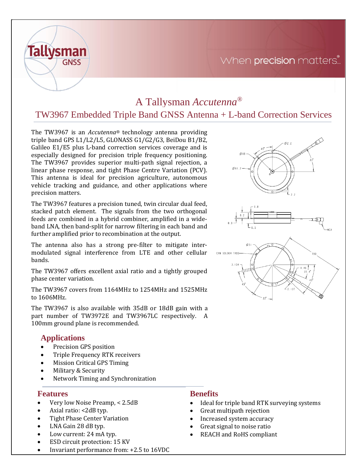## When precision matters...



# A Tallysman *Accutenna®*

### TW3967 Embedded Triple Band GNSS Antenna + L-band Correction Services

The TW3967 is an *Accutenna®* technology antenna providing triple band GPS L1/L2/L5, GLONASS G1/G2/G3, BeiDou B1/B2, Galileo E1/E5 plus L-band correction services coverage and is especially designed for precision triple frequency positioning. The TW3967 provides superior multi-path signal rejection, a linear phase response, and tight Phase Centre Variation (PCV). This antenna is ideal for precision agriculture, autonomous vehicle tracking and guidance, and other applications where precision matters.

The TW3967 features a precision tuned, twin circular dual feed, stacked patch element. The signals from the two orthogonal feeds are combined in a hybrid combiner, amplified in a wideband LNA, then band-split for narrow filtering in each band and further amplified prior to recombination at the output.

The antenna also has a strong pre-filter to mitigate intermodulated signal interference from LTE and other cellular bands.

The TW3967 offers excellent axial ratio and a tightly grouped phase center variation.

The TW3967 covers from 1164MHz to 1254MHz and 1525MHz to 1606MHz.

The TW3967 is also available with 35dB or 18dB gain with a part number of TW3972E and TW3967LC respectively. A 100mm ground plane is recommended.

### **Applications**

- Precision GPS position
- Triple Frequency RTK receivers
- Mission Critical GPS Timing
- Military & Security
- Network Timing and Synchronization

#### **Features**

- Very low Noise Preamp, < 2.5dB
- Axial ratio: <2dB typ.
- Tight Phase Center Variation
- LNA Gain 28 dB typ.
- Low current: 24 mA typ.
- ESD circuit protection: 15 KV
- Invariant performance from: +2.5 to 16VDC

#### **Benefits**

- Ideal for triple band RTK surveying systems
- Great multipath rejection
- Increased system accuracy
- Great signal to noise ratio
- REACH and RoHS compliant